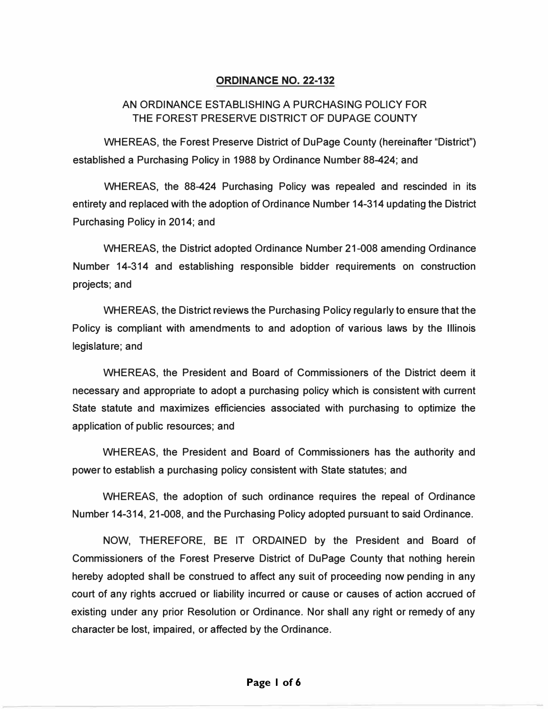## **ORDINANCE NO. 22-132**

# AN ORDINANCE ESTABLISHING A PURCHASING POLICY FOR THE FOREST PRESERVE DISTRICT OF DUPAGE COUNTY

WHEREAS, the Forest Preserve District of DuPage County (hereinafter "District") established a Purchasing Policy in 1988 by Ordinance Number 88-424; and

WHEREAS, the 88-424 Purchasing Policy was repealed and rescinded in its entirety and replaced with the adoption of Ordinance Number 14-314 updating the District Purchasing Policy in 2014; and

WHEREAS, the District adopted Ordinance Number 21-008 amending Ordinance Number 14-314 and establishing responsible bidder requirements on construction projects; and

WHEREAS, the District reviews the Purchasing Policy regularly to ensure that the Policy is compliant with amendments to and adoption of various laws by the Illinois legislature; and

WHEREAS, the President and Board of Commissioners of the District deem it necessary and appropriate to adopt a purchasing policy which is consistent with current State statute and maximizes efficiencies associated with purchasing to optimize the application of public resources; and

WHEREAS, the President and Board of Commissioners has the authority and power to establish a purchasing policy consistent with State statutes; and

WHEREAS, the adoption of such ordinance requires the repeal of Ordinance Number 14-314, 21-008, and the Purchasing Policy adopted pursuant to said Ordinance.

NOW, THEREFORE, BE IT ORDAINED by the President and Board of Commissioners of the Forest Preserve District of DuPage County that nothing herein hereby adopted shall be construed to affect any suit of proceeding now pending in any court of any rights accrued or liability incurred or cause or causes of action accrued of existing under any prior Resolution or Ordinance. Nor shall any right or remedy of any character be lost, impaired, or affected by the Ordinance.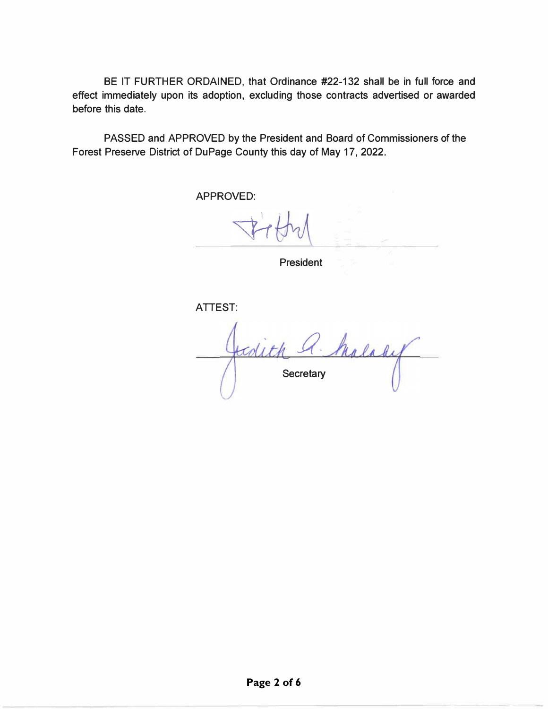BE IT FURTHER ORDAINED, that Ordinance #22-132 shall be in full force and effect immediately upon its adoption, excluding those contracts advertised or awarded before this date.

PASSED and APPROVED by the President and Board of Commissioners of the Forest Preserve District of DuPage County this day of May 17, 2022.

APPROVED:

President

ATTEST:

Malady todith & **Secretary**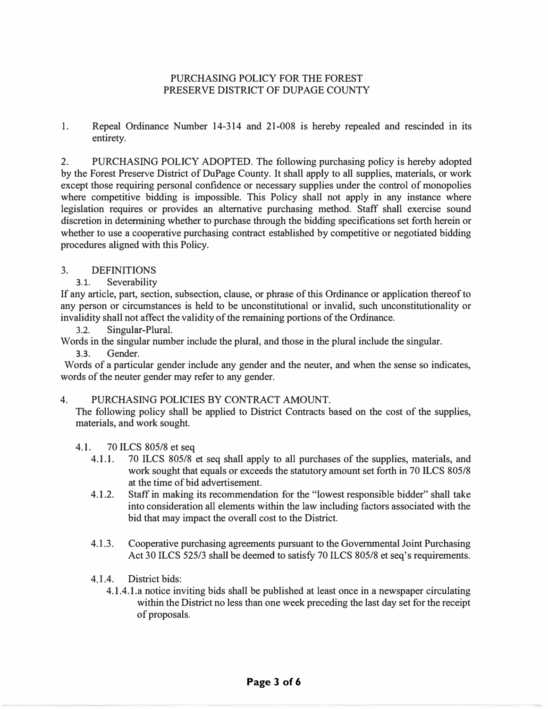## PURCHASING POLICY FOR THE FOREST PRESERVE DISTRICT OF DUPAGE COUNTY

1. Repeal Ordinance Number 14-314 and 21-008 is hereby repealed and rescinded in its entirety.

2. PURCHASING POLICY ADOPTED. The following purchasing policy is hereby adopted by the Forest Preserve District of DuPage County. It shall apply to all supplies, materials, or work except those requiring personal confidence or necessary supplies under the control of monopolies where competitive bidding is impossible. This Policy shall not apply in any instance where legislation requires or provides an alternative purchasing method. Staff shall exercise sound discretion in determining whether to purchase through the bidding specifications set forth herein or whether to use a cooperative purchasing contract established by competitive or negotiated bidding procedures aligned with this Policy.

# 3. DEFINITIONS

3.1. Severability

If any article, part, section, subsection, clause, or phrase of this Ordinance or application thereof to any person or circumstances is held to be unconstitutional or invalid, such unconstitutionality or invalidity shall not affect the validity of the remaining portions of the Ordinance.

3.2. Singular-Plural.

Words in the singular number include the plural, and those in the plural include the singular.

3.3. Gender.

Words of a particular gender include any gender and the neuter, and when the sense so indicates, words of the neuter gender may refer to any gender.

# 4. PURCHASING POLICIES BY CONTRACT AMOUNT.

The following policy shall be applied to District Contracts based on the cost of the supplies, materials, and work sought.

4.1. 70 ILCS 805/8 et seq

- 4.1.1. 70 ILCS 805/8 et seq shall apply to all purchases of the supplies, materials, and work sought that equals or exceeds the statutory amount set forth in 70 ILCS 805/8 at the time of bid advertisement.
- 4.1.2. Staff in making its recommendation for the "lowest responsible bidder" shall take into consideration all elements within the law including factors associated with the bid that may impact the overall cost to the District.
- 4.1.3. Cooperative purchasing agreements pursuant to the Governmental Joint Purchasing Act 30 ILCS 525/3 shall be deemed to satisfy 70 ILCS 805/8 et seq's requirements.
- 4.1.4. District bids:
	- 4.1.4.1.a notice inviting bids shall be published at least once in a newspaper circulating within the District no less than one week preceding the last day set for the receipt of proposals.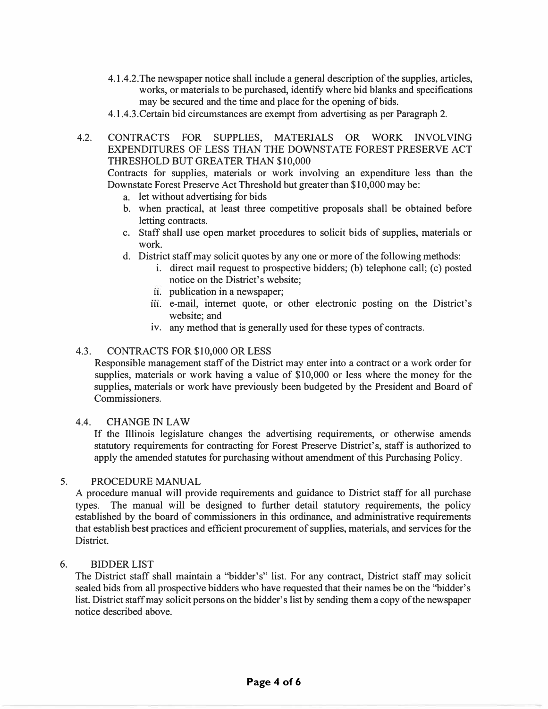- 4.1.4.2. The newspaper notice shall include a general description of the supplies, articles, works, or materials to be purchased, identify where bid blanks and specifications may be secured and the time and place for the opening of bids.
- 4.1.4.3.Certain bid circumstances are exempt from advertising as per Paragraph 2.
- 4.2. CONTRACTS FOR SUPPLIES, MATERIALS OR WORK INVOLVING EXPENDITURES OF LESS THAN THE DOWNSTATE FOREST PRESERVE ACT THRESHOLD BUT GREATER THAN \$10,000

Contracts for supplies, materials or work involving an expenditure less than the Downstate Forest Preserve Act Threshold but greater than \$10,000 may be:

- a. let without advertising for bids
- b. when practical, at least three competitive proposals shall be obtained before letting contracts.
- c. Staff shall use open market procedures to solicit bids of supplies, materials or work.
- d. District staff may solicit quotes by any one or more of the following methods:
	- i. direct mail request to prospective bidders; (b) telephone call; (c) posted notice on the District's website;
	- **11.** publication in a newspaper;
	- **111.** e-mail, internet quote, or other electronic posting on the District's website; and
	- iv. any method that is generally used for these types of contracts.

### 4.3. CONTRACTS FOR \$10,000 OR LESS

Responsible management staff of the District may enter into a contract or a work order for supplies, materials or work having a value of \$10,000 or less where the money for the supplies, materials or work have previously been budgeted by the President and Board of Commissioners.

### 4.4. CHANGE IN LAW

If the Illinois legislature changes the advertising requirements, or otherwise amends statutory requirements for contracting for Forest Preserve District's, staff is authorized to apply the amended statutes for purchasing without amendment of this Purchasing Policy.

#### 5. PROCEDURE MANUAL

A procedure manual will provide requirements and guidance to District staff for all purchase types. The manual will be designed to further detail statutory requirements, the policy established by the board of commissioners in this ordinance, and administrative requirements that establish best practices and efficient procurement of supplies, materials, and services for the District.

#### 6. BIDDER LIST

The District staff shall maintain a "bidder's" list. For any contract, District staff may solicit sealed bids from all prospective bidders who have requested that their names be on the "bidder's list. District staff may solicit persons on the bidder's list by sending them a copy of the newspaper notice described above.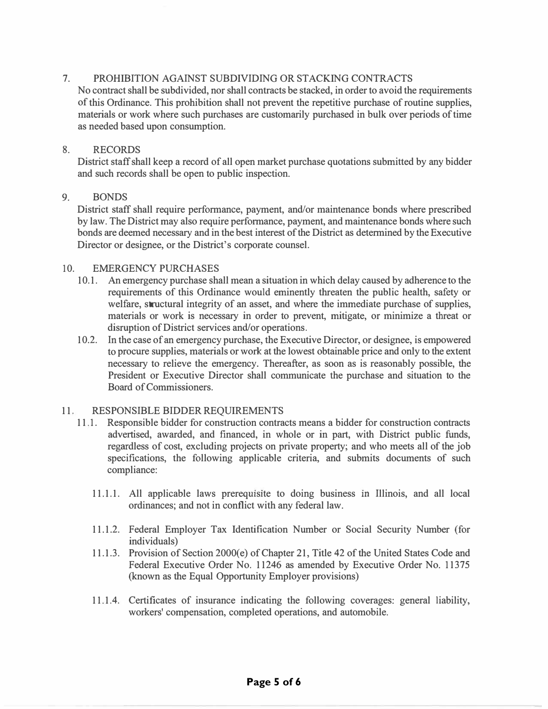## 7. PROHIBITION AGAINST SUBDIVIDING OR STACKING CONTRACTS

No contract shall be subdivided, nor shall contracts be stacked, in order to avoid the requirements of this Ordinance. This prohibition shall not prevent the repetitive purchase of routine supplies, materials or work where such purchases are customarily purchased in bulk over periods of time as needed based upon consumption.

## 8. RECORDS

District staff shall keep a record of all open market purchase quotations submitted by any bidder and such records shall be open to public inspection.

### 9. BONDS

District staff shall require performance, payment, and/or maintenance bonds where prescribed by law. The District may also require performance, payment, and maintenance bonds where such bonds are deemed necessary and in the best interest of the District as determined by the Executive Director or designee, or the District's corporate counsel.

## 10. EMERGENCY PURCHASES

- 10.1. An emergency purchase shall mean a situation in which delay caused by adherence to the requirements of this Ordinance would eminently threaten the public health, safety or welfare, structural integrity of an asset, and where the immediate purchase of supplies, materials or work is necessary in order to prevent, mitigate, or minimize a threat or disruption of District services and/or operations.
- 10.2. In the case of an emergency purchase, the Executive Director, or designee, is empowered to procure supplies, materials or work at the lowest obtainable price and only to the extent necessary to relieve the emergency. Thereafter, as soon as is reasonably possible, the President or Executive Director shall communicate the purchase and situation to the Board of Commissioners.

## 11. RESPONSIBLE BIDDER REQUIREMENTS

- 11 .1. Responsible bidder for construction contracts means a bidder for construction contracts advertised, awarded, and financed, in whole or in part, with District public funds, regardless of cost, excluding projects on private property; and who meets all of the job specifications, the following applicable criteria, and submits documents of such compliance:
	- 11.1.1. All applicable laws prerequisite to doing business in Illinois, and all local ordinances; and not in conflict with any federal law.
	- 11.1.2. Federal Employer Tax Identification Number or Social Security Number (for individuals)
	- 11.1.3. Provision of Section 2000(e) of Chapter 21, Title 42 of the United States Code and Federal Executive Order No. 11246 as amended by Executive Order No. 11375 (known as the Equal Opportunity Employer provisions)
	- 11.1.4. Certificates of insurance indicating the following coverages: general liability, workers' compensation, completed operations, and automobile.